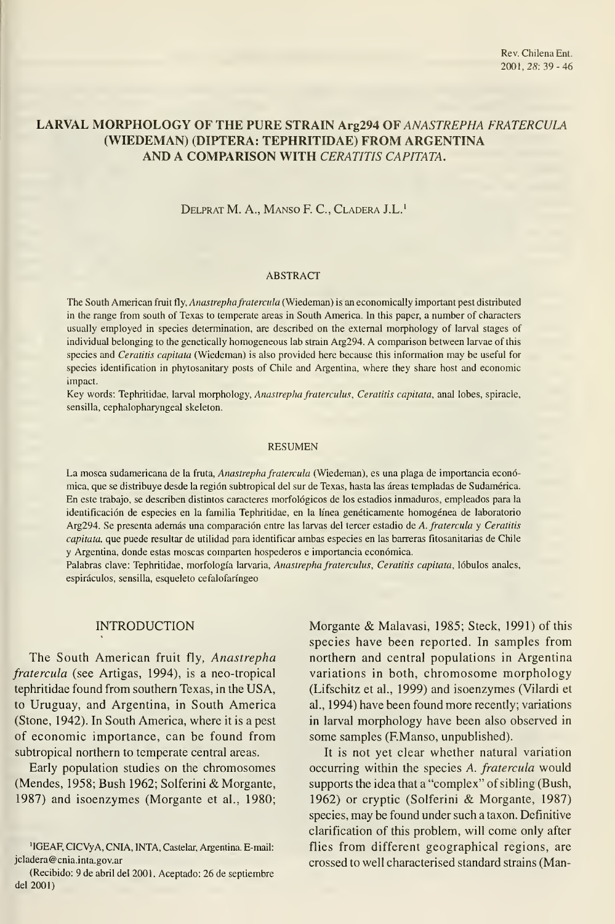# LARVAL MORPHOLOGY OF THE PURÉ STRAIN Arg294 OF ANASTREPHA FRATERCULA (WIEDEMAN) (DÍPTERA: TEPHRITIDAE) FROM ARGENTINA AND A COMPARISON WITH CERATITIS CAPITATA.

DELPRAT M. A., MANSO F. C., CLADERA J.L.<sup>1</sup>

#### ABSTRACT

The South American fruit fly, *Anastrepha fratercula* (Wiedeman) is an economically important pest distributed in the range from south of Texas to temperate areas in South America. In this paper, a number of characters usually employed in species determination, are described on the extemal morphology of larval stages of individual belonging to the genetically homogeneous lab strain Arg294. A comparison between larvae of this species and Ceratitis capitata (Wiedeman) is also provided here because this information may be useful for species Identification in phytosanitary posts of Chile and Argentina, where they share host and economic impact.

Key words: Tephritidae, larval morphology, Anastrepha fraterculus, Ceratitis capitata, anal lobes, spiracle, sensilla, cephalopharyngeal skeleton.

#### RESUMEN

La mosca sudamericana de la fruta, Anastrepha fratercula (Wiedeman), es una plaga de importancia económica, que se distribuye desde la región subtropical del sur de Texas, hasta las áreas templadas de Sudamérica. En este trabajo, se describen distintos caracteres morfológicos de los estadios inmaduros, empleados para la identificación de especies en la familia Tephritidae, en la línea genéticamente homogénea de laboratorio Arg294. Se presenta además una comparación entre las larvas del tercer estadio de A. fratercula y Ceratitis capitata, que puede resultar de utilidad para identificar ambas especies en las barreras fitosanitarias de Chile y Argentina, donde estas moscas comparten hospederos e importancia económica.

Palabras clave: Tephritidae, morfología larvaria, Anastrepha fraterculus, Ceratitis capitata, lóbulos anales, espiráculos, sensilla, esqueleto cefalofaríngeo

### INTRODUCTION

The South American fruit fly, Anastrepha fratercula (see Artigas, 1994), is a neo-tropical tephritidae found from southern Texas, in the USA, to Uruguay, and Argentina, in South America (Stone, 1942). In South America, where it is a pest of economic importance, can be found from subtropical northern to temperate central areas.

Early population studies on the chromosomes (Mendes, 1958; Bush 1962; Solferini & Morgante, 1987) and isoenzymes (Morgante et al., 1980; Morgante & Malavasi, 1985; Steck, 1991) of this species have been reported. In samples from northern and central populations in Argentina variations in both, chromosome morphology (Lifschitz et al., 1999) and isoenzymes (Vilardi et al., 1994) have been found more recently; variations in larval morphology have been also observed in some samples (F.Manso, unpublished).

It is not yet clear whether natural variation occurring within the species A. fratercula would supports the idea that a "complex" of sibling (Bush, 1962) or cryptic (Solferini & Morgante, 1987) species, may be found under such a taxon. Defínitive clarification of this problem, will come only after flies from different geographical regions, are crossed to well characterised standard strains (Man-

<sup>&#</sup>x27;IGEAF, ClCVyA, CNIA, INTA, Castelar, Argentina. E-mail: jcladera@cnia.inta.gov.ar

<sup>(</sup>Recibido: 9 de abril del 2001. Aceptado: 26 de septiembre del 2001)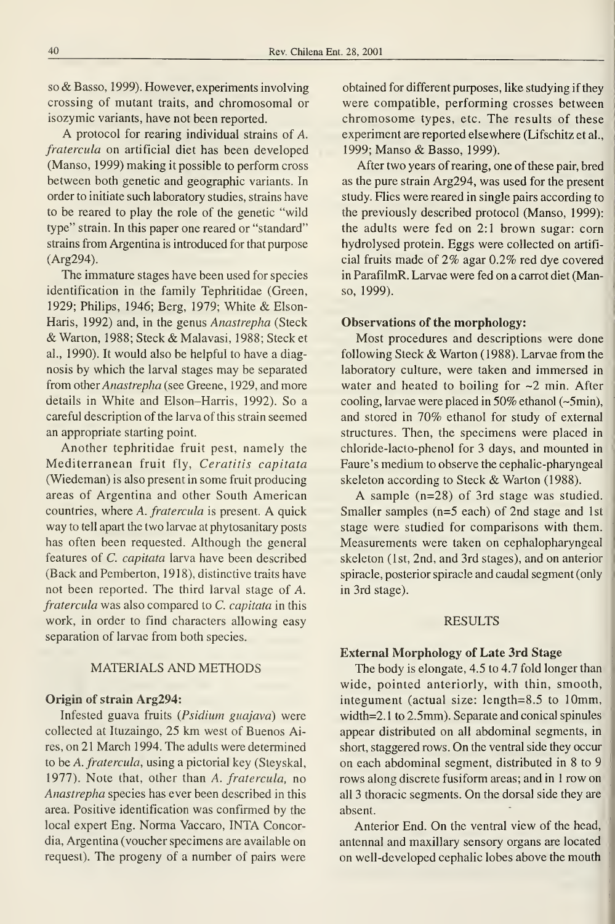so & Basso, 1999). However, experiments involving Crossing of mutant traits, and chromosomal or isozymic variants, have not been reported.

A protocol for rearing individual strains of A. fratercula on artificial diet has been developed (Manso, 1999) making it possible to perform cross between both genetic and geographic variants. In order to initiate such laboratory studies, strains have to be reared to play the role of the genetic "wild type" strain. In this paper one reared or "standard" strains from Argentina is introduced for that purpose (Arg294).

The immature stages have been used for species identification in the family Tephritidae (Green, 1929; Philips, 1946; Berg, 1979; White & Elson-Haris, 1992) and, in the genus Anastrepha (Steck & Warton, 1988; Steck & Malavasi, 1988; Steck et al., 1990). It would also be helpful to have a diag nosis by which the larval stages may be separated from other Anastrepha (see Greene, 1929, and more details in White and Elson-Harris, 1992). So a careful description of the larva of this strain seemed an appropriate starting point.

Another tephritidae fruit pest, namely the Mediterranean fruit fly, Ceratitis capitata (Wiedeman) is also present in some fruit producing áreas of Argentina and other South American countries, where A. fratercula is present. A quick way to tell apart the two larvae at phytosanitary posts has often been requested. Although the general features of C. capitata larva have been described (Back and Pemberton, 1918), distinctive traits have not been reported. The third larval stage of A. fratercula was also compared to C. capitata in this work, in order to find characters allowing easy separation of larvae from both species.

### MATERIALS AND METHODS

# Origin of strain Arg294:

Infested guava fruits (Psidium guajava) were collected at Ituzaingo, 25 km west of Buenos Aires, on 21 March 1994. The adults were determined to be A. fratercula, using a pictorial key (Steyskal, 1977). Note that, other than A. fratercula, no Anastrepha species has ever been described in this área. Positive identification was confirmed by the local expert Eng. Norma Vaccaro, INTA Concordia, Argentina (voucher specimens are available on request). The progeny of a number of pairs were

obtained for different purposes, like studying if they were compatible, performing crosses between chromosome types, etc. The results of these experiment are reported elsewhere (Lifschitz et al., 1999; Manso & Basso, 1999).

After two years of rearing, one of these pair, bred as the puré strain Arg294, was used for the present study. Flies were reared in single pairs according to the previously described protocol (Manso, 1999): the adults were fed on 2:1 brown sugar: corn hydrolysed protein. Eggs were collected on artifi cial fruits made of 2% agar 0.2% red dye covered in ParafilmR. Larvae were fed on a carrot diet (Manso, 1999).

#### Observations of the morphology:

Most procedures and descriptions were done following Steck & Warton (1988). Larvae from the laboratory culture, were taken and immersed in water and heated to boiling for ~2 min. After cooling, larvae were placed in 50% ethanol (~5min), and stored in 70% ethanol for study of external structures. Then, the specimens were placed in chloride-lacto-phenol for 3 days, and mounted in Faure's medium to observe the cephalic-pharyngeal skeleton according to Steck & Warton (1988).

A sample (n=28) of 3rd stage was studied. Smaller samples (n=5 each) of 2nd stage and Ist stage were studied for comparisons with them. Measurements were taken on cephalopharyngeal skeleton (Ist, 2nd, and 3rd stages), and on anterior spiracle, posterior spiracle and caudal segment (only in 3rd stage).

### RESULTS

### External Morphology of Late 3rd Stage

The body is elongate, 4.5 to 4.7 fold longer than wide, pointed anteriorly, with thin, smooth, integument (actual size: length=8.5 to lOmm, width=2.1 to 2.5mm). Separate and conical spinules appear distributed on all abdominal segments, in short, staggered rows. On the ventral side they occur on each abdominal segment, distributed in 8 to 9 rows along discrete fusiform areas; and in 1 row on all <sup>3</sup> thoracic segments. On the dorsal side they are absent.

Anterior End. On the ventral view of the head, antennal and maxillary sensory organs are located on well-developed cephalic lobes above the mouth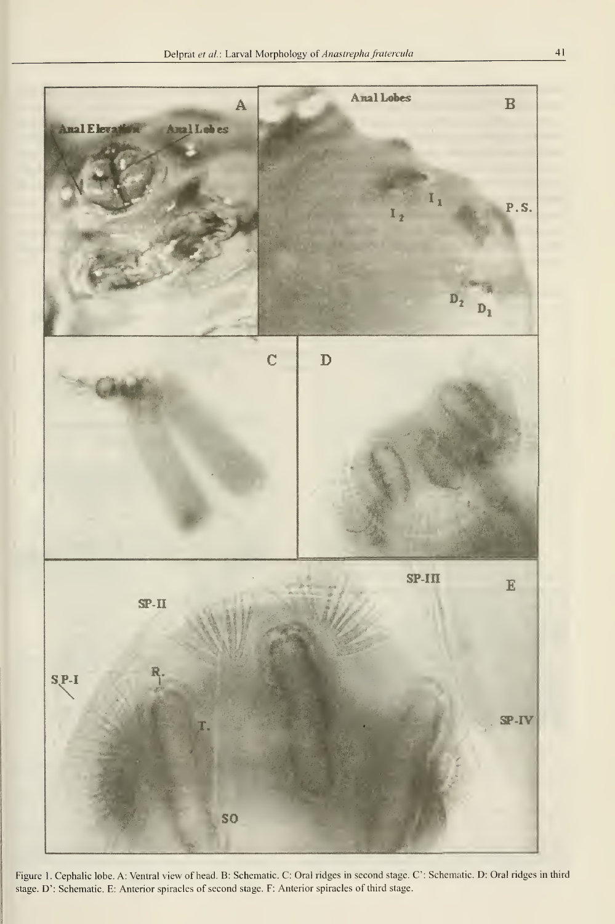

Figure 1. Cephalic lobe. A: Ventral view of head. B: Schematic. C: Oral ridges in second stage. C: Schematic. D: Oral ridges in third stage. D': Schematic. E: Anterior spiracles of second stage. F; Anterior spiracles of third stage.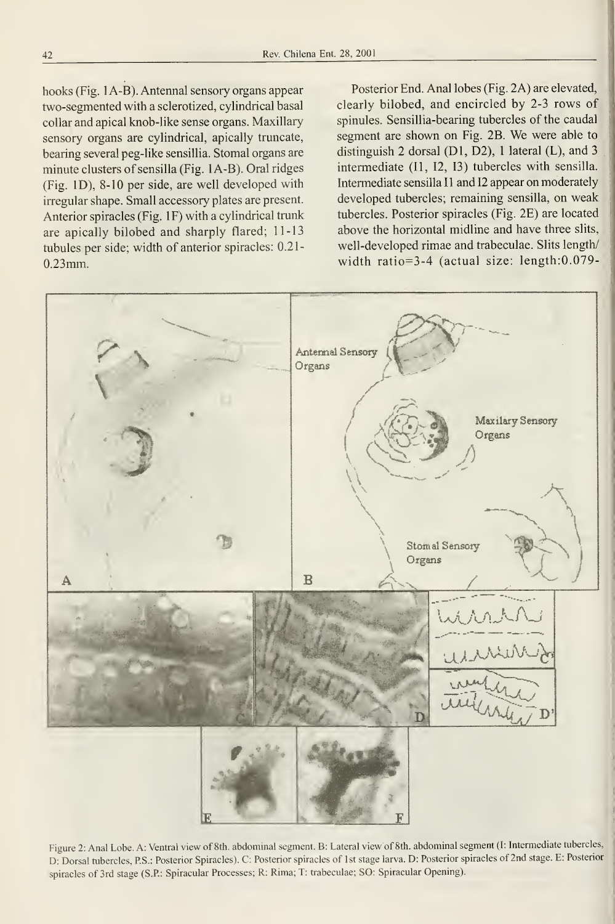hooks (Fig. <sup>1</sup> A-B). Antennal sensory organs appear two-segmented with a sclerotized, cylindrical basal collar and apical knob-like sense organs. Maxillary sensory organs are cylindrical, apically truncate, bearing several peg-like sensillia. Stomal organs are minute clusters of sensilla (Fig. <sup>1</sup> A-B). Oral ridges (Fig. ID), 8-10 per side, are well developed with irregular shape. Small accessory plates are present. Anterior spiracles (Fig. IF) with a cylindrical trunk are apically bilobed and sharply flared; 11-13 tubules per side; width of anterior spiracles: 0.21- 0.23mm.

Posterior End. Anal lobes (Fig. 2A) are elevated, clearly bilobed, and encircled by 2-3 rows of spinules. Sensillia-bearing tubercles of the caudal segment are shown on Fig. 2B. We were able to distinguish 2 dorsal (DI, D2), <sup>1</sup> lateral (L), and 3 intermedíate (II, 12, 13) tubercles with sensilla. Intermediate sensilla I1 and I2 appear on moderately developed tubercles; remaining sensilla, on weak tubercles. Posterior spiracles (Fig. 2E) are located above the horizontal midline and have three slits, well-developed rimae and trabeculae. Slits length/ width ratio=3-4 (actual size: length:0.079-



Figure 2: Anal Lobe. A: Ventral view of 8th. abdominal segment. B: Lateral view of 8th. abdominal segment (I: Intermediate tubercles, D: Dorsal tubercles, P.S.: Posterior Spiracles). C: Posterior spiracles of Ist stage larva. D: Posterior spiracles of 2nd stage. E: Posterior spiracles of 3rd stage (S.P: Spiracular Processes; R: Rima; T: trabeculae; SO: Spiracular Opening).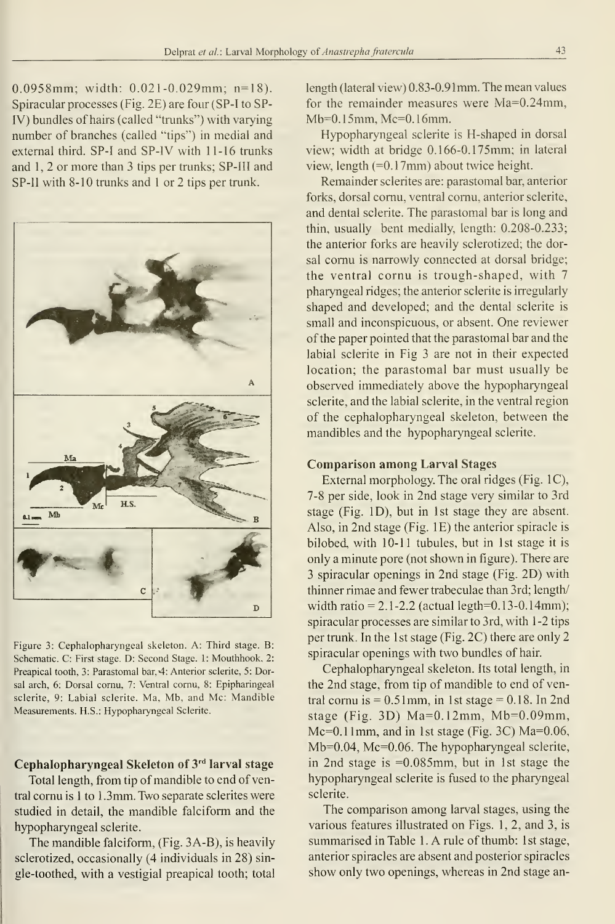0.0958mm; width: 0.021-0.029mm; n=18). Spiracular processes (Fig. 2E) are four (SP-I to SP-IV) bundles of hairs (called "trunks") with varying number of branches (called "tips") in medial and external third. SP-I and SP-IV with 11-16 trunks and 1, 2 or more than 3 tips per trunks; SP-III and SP-II with 8-10 trunks and <sup>1</sup> or 2 tips per trunk.



Figure 3: Cephalopharyngeal skeleton. A: Third stage. B: Schematic. C: First stage. D: Second Stage. 1: Mouthhook, 2: Preapical tooth, 3: Parastomal bar, 4: Anterior sclerite, 5: Dorsal arch, 6: Dorsal comu, 7: Ventral comu, 8: Epipharingeal sclerite, 9: Labial sclerite. Ma, Mb, and Me: Mandible Measurements. H.S.: Hypopharyngeal Sclerite.

# Cephalopharyngeal Skeleton of 3rd larval stage

Total length, from tip of mandible to end of ventral cornu is 1 to 1.3mm. Two separate sclerites were studied in detall, the mandible falciform and the hypopharyngeal sclerite.

The mandible falciform, (Fig. 3A-B), is heavily sclerotized, occasionally (4 individuals in 28) single-toothed, with a vestigial preapical tooth; total length (lateral view) 0.83-0.91 mm. The mean values for the remainder measures were Ma=0.24mm, Mb=0.15mm, Mc=0.16mm.

Hypopharyngeal sclerite is H-shaped in dorsal view; width at bridge 0.166-0.175mm; in lateral view, length (=0. 17mm) about twice height.

Remainder sclerites are: parastomal bar, anterior forks, dorsal comu, ventral comu, anterior sclerite, and dental sclerite. The parastomal bar is long and thin, usually bent medially, length: 0.208-0.233; the anterior forks are heavily sclerotized; the dorsal comu is narrowly connected at dorsal bridge; the ventral cornu is trough-shaped, with 7 pharyngeal ridges; the anterior sclerite is irregularly shaped and developed; and the dental sclerite is small and inconspicuous, or absent. One reviewer of the paper pointed that the parastomal bar and the labial sclerite in Fig 3 are not in their expected location; the parastomal bar must usually be observed immediately above the hypopharyngeal sclerite, and the labial sclerite, in the ventral region of the cephalopharyngeal skeleton, between the mandibles and the hypopharyngeal sclerite.

### Comparison among Larval Stages

External morphology. The oral ridges (Fig. IC), 7-8 per side, look in 2nd stage very similar to 3rd stage (Fig. ID), but in Ist stage they are absent. Also, in 2nd stage (Fig. lE) the anterior spiracle is bilobed, with 10-11 tubules, but in 1st stage it is only a minute pore (not shown in figure). There are 3 spiracular openings in 2nd stage (Fig. 2D) with thinner rimae and fewer trabeculae than 3rd; length/ width ratio =  $2.1 - 2.2$  (actual legth=0.13-0.14mm); spiracular processes are similar to 3rd, with 1-2 tips per trunk. In the 1st stage (Fig.  $2C$ ) there are only 2 spiracular openings with two bundles of hair.

Cephalopharyngeal skeleton. Its total length, in the 2nd stage, from tip of mandible to end of ventral cornu is  $= 0.51$ mm, in 1st stage  $= 0.18$ . In 2nd stage (Fig. 3D) Ma=0.12mm, Mb=0.09mm, Mc=0.11mm, and in 1st stage (Fig. 3C) Ma=0.06, Mb=0.04, Mc=0.06. The hypopharyngeal sclerite, in 2nd stage is =0.085mm, but in Ist stage the hypopharyngeal sclerite is fused to the pharyngeal sclerite.

The comparison among larval stages, using the various features illustrated on Figs. 1, 2, and 3, is summarised in Table 1. A rule of thumb: 1st stage, anterior spiracles are absent and posterior spiracles show only two openings, whereas in 2nd stage an-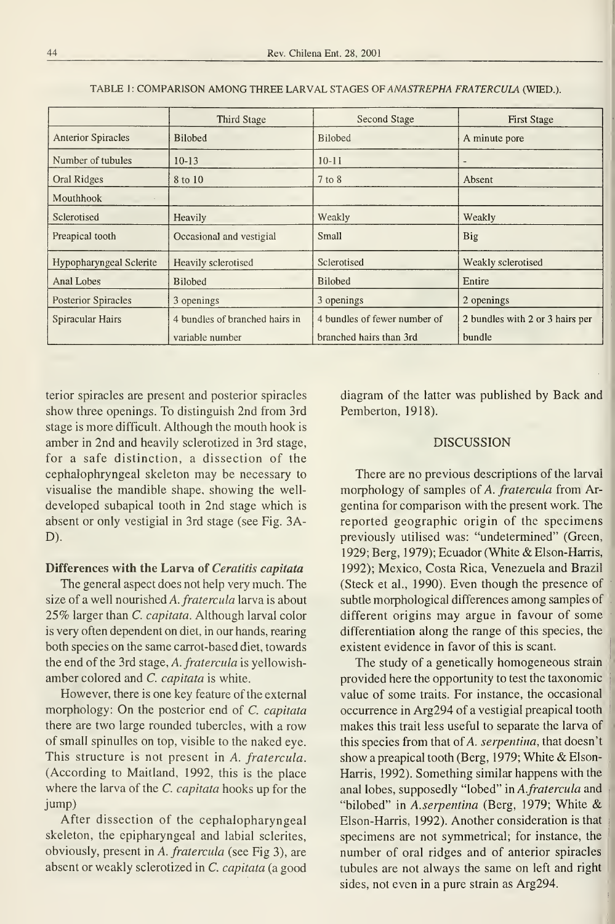|                                | <b>Third Stage</b>             | <b>Second Stage</b>          | <b>First Stage</b>              |
|--------------------------------|--------------------------------|------------------------------|---------------------------------|
| <b>Anterior Spiracles</b>      | <b>Bilobed</b>                 | <b>Bilobed</b>               | A minute pore                   |
| Number of tubules              | $10-13$                        | $10-11$                      |                                 |
| Oral Ridges                    | 8 to 10                        | $7$ to $8$                   | Absent                          |
| Mouthbook                      |                                |                              |                                 |
| Sclerotised                    | Heavily                        | Weakly                       | Weakly                          |
| Preapical tooth                | Occasional and vestigial       | Small                        | Big                             |
| <b>Hypopharyngeal Sclerite</b> | Heavily sclerotised            | Sclerotised                  | Weakly sclerotised              |
| Anal Lobes                     | <b>Bilobed</b>                 | <b>Bilobed</b>               | Entire                          |
| Posterior Spiracles            | 3 openings                     | 3 openings                   | 2 openings                      |
| Spiracular Hairs               | 4 bundles of branched hairs in | 4 bundles of fewer number of | 2 bundles with 2 or 3 hairs per |
|                                | variable number                | branched hairs than 3rd      | bundle                          |

TABLE 1: COMPARISON AMONG THREE LARVAL STAGES OF ANASTREPHA FRATERCULA (WIED.).

terior spiracles are present and posterior spiracles show three openings. To distinguish 2nd from 3rd stage is more difficult. Although the mouth hook isamber in 2nd and heavily sclerotized in 3rd stage, for a safe distinction, a dissection of the cephalophryngeal skeleton may be necessary to visualise the mandible shape, showing the well developed subapical tooth in 2nd stage which is absent or only vestigial in 3rd stage (see Fig. 3A-D).

### Differences with the Larva of Ceratitis capitata

The general aspect does not help very much. The size of a well nourished A. fratercula larva is about 25% larger than C. capitata. Although larval color is very often dependent on diet, in our hands, rearing both species on the same carrot-based diet, towards the end of the 3rd stage, A. fratercula is yellowishamber colored and C. capitata is white.

However, there is one key feature of the external morphology: On the posterior end of C. capitata there are two large rounded tubercles, with a row of small spinulles on top, visible to the naked eye. This structure is not present in A. fratercula. (According to Maitland, 1992, this is the place where the larva of the *C. capitata* hooks up for the jump)

After dissection of the cephalopharyngeal skeleton, the epipharyngeal and labial sclerites, obviously, present in A. fratercula (see Fig 3), are absent or weakly sclerotized in C. capitata (a good diagram of the latter was published by Back and \\ Pemberton, 1918).

### **DISCUSSION**

There are no previous descriptions of the larval morphology of samples of A. fratercula from Argentina for comparison with the present work. The reported geographic origin of the specimens previously utilised was: "undetermined" (Green, 1929; Berg, 1979); Ecuador (White & Elson-Harris, 1992); México, Costa Rica, Venezuela and Brazil (Steck et al., 1990). Even though the presence of subtle morphological differences among samples of different origins may argue in favour of some differentiation along the range of this species, the existent evidence in favor of this is scant.

The study of a genetically homogeneous strain provided here the opportunity to test the taxonomic value of some traits. For instance, the occasional occurrence in Arg294 of a vestigial preapical tooth makes this trait less useful to separate the larva of this species from that of A. serpentina, that doesn't show <sup>a</sup> preapical tooth (Berg, 1979; White & Elson-Harris, 1992). Something similar happens with the anal lobes, supposedly "lobed" in A.fratercula and "bilobed" in A.serpentina (Berg, 1979; White & Elson-Harris, 1992). Another consideration is that specimens are not symmetrical; for instance, the number of oral ridges and of anterior spiracles tubules are not always the same on left and right sides, not even in a pure strain as Arg294.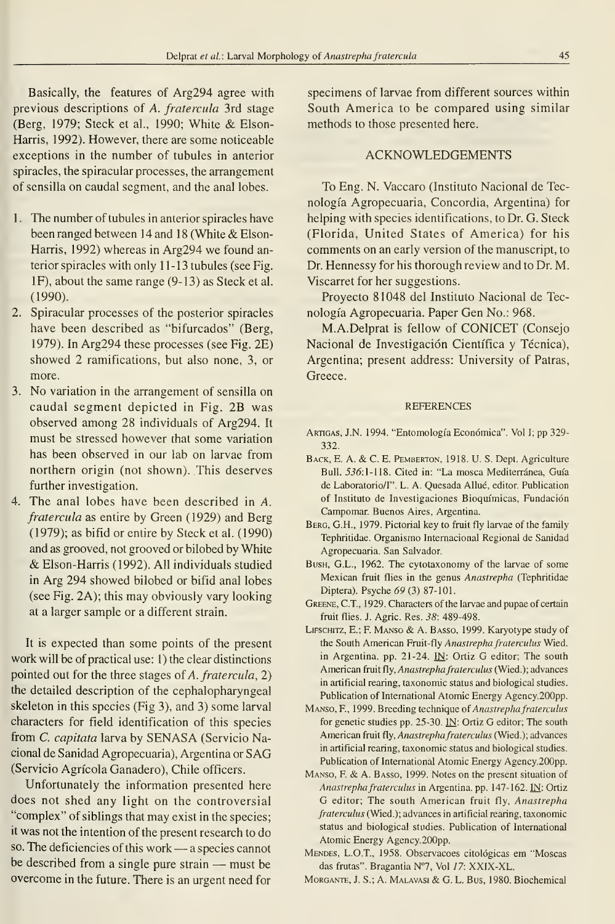Basically, the features of Arg294 agree with previous descriptions of A. fratercula 3rd stage (Berg, 1979; Steck et al., 1990; White & Elson-Harris, 1992). However, there are some noticeable exceptions in the number of tubules in anterior spiracles, the spiracular processes, the arrangement of sensilla on caudal segment, and the anal lobes.

- 1 The number of tubules in anterior spiracles have been ranged between 14 and 18 (White  $& Elson-$ Harris, 1992) whereas in Arg294 we found anterior spiracles with only 11-13 tubules (see Fig. IF), about the same range (9-13) as Steck et al. (1990).
- 2. Spiracular processes of the posterior spiracles have been described as "bifurcados" (Berg, 1979). In Arg294 these processes (see Fig. 2E) showed 2 ramifications, but also none, 3, or more.
- 3. No variation in the arrangement of sensilla on caudal segment depicted in Fig. 2B was observed among 28 individuals of Arg294. It must be stressed however that some variation has been observed in our lab on larvae from northern origin (not shown). This deserves further investigation.
- 4. The anal lobes have been described in A. fratercula as entire by Green (1929) and Berg (1979); as bifid or entire by Steck et al. (1990) and as grooved, not grooved or bilobed by White & Elson-Harris (1992). All individuals studied in Arg 294 showed bilobed or bifid anal lobes (see Fig. 2A); this may obviously vary looking at a larger sample or a different strain.

It is expected than some points of the present work will be of practical use: 1) the clear distinctions pointed out for the three stages of A. fratercula, 2) the detailed description of the cephalopharyngeal skeleton in this species (Fig 3), and 3) some larval characters for field identification of this species from C. capitata larva by SENASA (Servicio Nacional de Sanidad Agropecuaria), Argentina or SAG (Servicio Agrícola Ganadero), Chile officers.

Unfortunately the information presented here does not shed any light on the controversial "complex" of siblings that may exist in the species; it was not the intention of the present research to do so. The deficiencies of this work — a species cannot be described from <sup>a</sup> single puré strain — must be overcome in the future. There is an urgent need for specimens of larvae from different sources within South America to be compared using similar methods to those presented here.

### ACKNOWLEDGEMENTS

To Eng. N. Vaccaro (Instituto Nacional de Tec nología Agropecuaria, Concordia, Argentina) for helping with species identifications, to Dr. G. Steck (Florida, United States of America) for his comments on an early version of the manuscript, to Dr. Hennessy for his thorough review and to Dr. M. Viscarret for her suggestions.

Proyecto 81048 del Instituto Nacional de Tec nología Agropecuaria. Paper Gen No.: 968.

M.A.Delprat is fellow of CONICET (Consejo Nacional de Investigación Científica y Técnica), Argentina; present address: University of Patras, Greece.

#### REFERENCES

- Artigas, J.N. 1994. "Entomología Económica". Vol I; pp 329- 332.
- BACK, E. A. & C. E. PEMBERTON, 1918. U. S. Dept. Agriculture Bull. 556:1-118. Cited in: "La mosca Mediterránea, Guía de Laboratorio/I". L. A. Quesada Allué, editor. Publication of Instituto de Investigaciones Bioquímicas, Fundación Campomar. Buenos Aires, Argentina.
- Berg, G.H., 1979. Pictorial key to fruit fly larvae of the family Tephritidae. Organismo Internacional Regional de Sanidad Agropecuaria. San Salvador
- BusH, G.L., 1962. The cytotaxonomy of the larvae of some Mexican fruit flies in the genus Anastrepha (Tephritidae Diptera). Psyche 69 (3) 87-101.
- Greene, C.T., 1929. Characters of the larvae and pupae of certain fruit flies. J. Agrie. Res. 38: 489-498.
- LiFSCHiTZ, E.; F. Manso & A. Basso, 1999. Karyotype study of the South American Fruit-fly Anastrepha fraterculus Wied. in Argentina, pp. 21-24. IN: Ortiz G editor; The south American fruit fly, Anastrepha fraterculus (Wied.); advances in artificial rearing, taxonomic status and biological studies. Publication of International Atomic Energy Agency.200pp.
- Manso, E, 1999. Breeding technique of Anastrepha fraterculus for genetic studies pp. 25-30.  $\underline{\mathbf{IN}}$ : Ortiz G editor; The south American fruit fly, Anastrepha fraterculus (Wied.); advances in artificial rearing, taxonomic status and biological studies. Publication of International Atomic Energy Agency.200pp.
- Manso, F. & A. Basso, 1999. Notes on the present situation of Anastrepha fraterculus in Argentina. pp. 147-162. IN: Ortiz G editor; The south American fruit fly, Anastrepha fraterculus (Wied.); advances in artificial rearing, taxonomic status and biological studies. Publication of International Atomic Energy Agency.200pp.
- Mendes, L.O.T, 1958. Observacoes citológicas em "Moscas das frutas". Bragantia N'7, Vol 17: XXIX-XL.
- MoRGANTE, J. S.; A. Malavasi & G.L. Bus, 1980. Biochemical